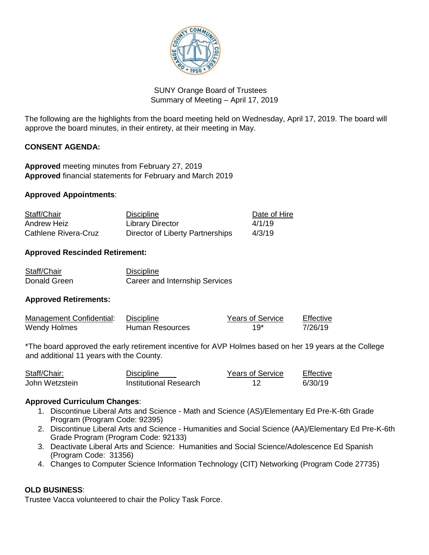

# SUNY Orange Board of Trustees Summary of Meeting – April 17, 2019

The following are the highlights from the board meeting held on Wednesday, April 17, 2019. The board will approve the board minutes, in their entirety, at their meeting in May.

## **CONSENT AGENDA:**

**Approved** meeting minutes from February 27, 2019 **Approved** financial statements for February and March 2019

#### **Approved Appointments**:

| Staff/Chair          | <b>Discipline</b>                | Date of Hire |
|----------------------|----------------------------------|--------------|
| Andrew Heiz          | Library Director                 | 4/1/19       |
| Cathlene Rivera-Cruz | Director of Liberty Partnerships | 4/3/19       |

## **Approved Rescinded Retirement:**

| Staff/Chair  | <b>Discipline</b>              |
|--------------|--------------------------------|
| Donald Green | Career and Internship Services |

#### **Approved Retirements:**

| Management Confidential: | Discipline      | <b>Years of Service</b> | Effective |
|--------------------------|-----------------|-------------------------|-----------|
| Wendy Holmes             | Human Resources | $19*$                   | 7/26/19   |

\*The board approved the early retirement incentive for AVP Holmes based on her 19 years at the College and additional 11 years with the County.

| Staff/Chair:   | <b>Discipline</b>      | <b>Years of Service</b> | Effective |
|----------------|------------------------|-------------------------|-----------|
| John Wetzstein | Institutional Research |                         | 6/30/19   |

#### **Approved Curriculum Changes**:

- 1. Discontinue Liberal Arts and Science Math and Science (AS)/Elementary Ed Pre-K-6th Grade Program (Program Code: 92395)
- 2. Discontinue Liberal Arts and Science Humanities and Social Science (AA)/Elementary Ed Pre-K-6th Grade Program (Program Code: 92133)
- 3. Deactivate Liberal Arts and Science: Humanities and Social Science/Adolescence Ed Spanish (Program Code: 31356)
- 4. Changes to Computer Science Information Technology (CIT) Networking (Program Code 27735)

#### **OLD BUSINESS**:

Trustee Vacca volunteered to chair the Policy Task Force.